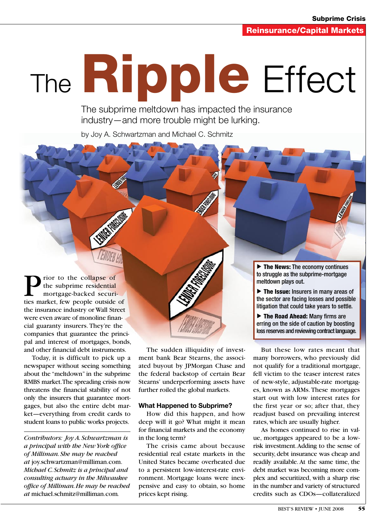# The **Ripple** Effect

The subprime meltdown has impacted the insurance industry—and more trouble might be lurking.

by Joy A. Schwartzman and Michael C. Schmitz

rior to the collapse of the subprime residential mortgage-backed securities market, few people outside of the insurance industry or Wall Street were even aware of monoline financial guaranty insurers. They're the companies that guarantee the principal and interest of mortgages, bonds, and other financial debt instruments.

Today, it is difficult to pick up a newspaper without seeing something about the "meltdown" in the subprime RMBS market. The spreading crisis now threatens the financial stability of not only the insurers that guarantee mortgages, but also the entire debt market—everything from credit cards to student loans to public works projects.

*Contributors: Joy A. Schwartzman is a principal with the New York office of Milliman. She may be reached at* joy.schwartzman@milliman.com. *Michael C. Schmitz is a principal and consulting actuary in the Milwaukee office of Milliman. He may be reached at* michael.schmitz@milliman.com*.*

The sudden illiquidity of investment bank Bear Stearns, the associated buyout by JPMorgan Chase and the federal backstop of certain Bear Stearns' underperforming assets have further roiled the global markets.

#### **What Happened to Subprime?**

How did this happen, and how deep will it go? What might it mean for financial markets and the economy in the long term?

The crisis came about because residential real estate markets in the United States became overheated due to a persistent low-interest-rate environment. Mortgage loans were inexpensive and easy to obtain, so home prices kept rising.

 $\triangleright$  The News: The economy continues to struggle as the subprime-mortgage meltdown plays out.

 $\triangleright$  The Issue: Insurers in many areas of the sector are facing losses and possible litigation that could take years to settle.

▶ The Road Ahead: Many firms are erring on the side of caution by boosting loss reserves and reviewing contract language.

But these low rates meant that many borrowers, who previously did not qualify for a traditional mortgage, fell victim to the teaser interest rates of new-style, adjustable-rate mortgages, known as ARMs. These mortgages start out with low interest rates for the first year or so; after that, they readjust based on prevailing interest rates, which are usually higher.

As homes continued to rise in value, mortgages appeared to be a lowrisk investment. Adding to the sense of security, debt insurance was cheap and readily available. At the same time, the debt market was becoming more complex and securitized, with a sharp rise in the number and variety of structured credits such as CDOs—collateralized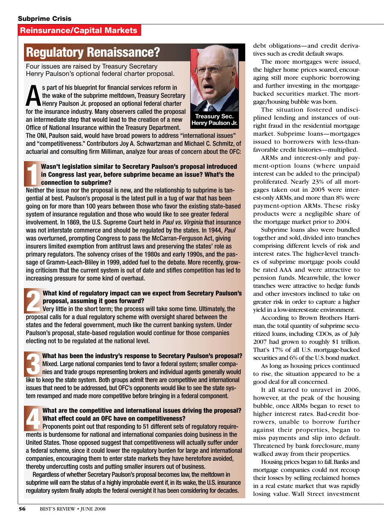## Reinsurance/Capital Markets

# Regulatory Renaissance?

Four issues are raised by Treasury Secretary Henry Paulson's optional federal charter proposal.

S part of his blueprint for financial services reform in<br>the wake of the subprime meltdown, Treasury Secretar<br>Henry Paulson Jr. proposed an optional federal charter<br>for the inquirance industry. Many observers colled the pr the wake of the subprime meltdown, Treasury Secretary for the insurance industry. Many observers called the proposal an intermediate step that would lead to the creation of a new Office of National Insurance within the Treasury Department.



The ONI, Paulson said, would have broad powers to address "international issues" and "competitiveness." Contributors Joy A. Schwartzman and Michael C. Schmitz, of actuarial and consulting firm Milliman, analyze four areas of concern about the OFC:

#### Wasn't legislation similar to Secretary Paulson's proposal introduce<br>in Congress last year, before subprime became an issue? What's the<br>connection to subprime?<br>Neither the issue nor the proposal is new, and the relationshi Wasn't legislation similar to Secretary Paulson's proposal introduced in Congress last year, before subprime became an issue? What's the connection to subprime?

gential at best. Paulson's proposal is the latest pull in a tug of war that has been going on for more than 100 years between those who favor the existing state-based system of insurance regulation and those who would like to see greater federal involvement. In 1869, the U.S. Supreme Court held in *Paul vs. Virginia* that insurance was not interstate commerce and should be regulated by the states. In 1944, *Paul*  was overturned, prompting Congress to pass the McCarran-Ferguson Act, giving insurers limited exemption from antitrust laws and preserving the states' role as primary regulators. The solvency crises of the 1980s and early 1990s, and the passage of Gramm-Leach-Bliley in 1999, added fuel to the debate. More recently, growing criticism that the current system is out of date and stifles competition has led to increasing pressure for some kind of overhaul.

# What kind of regulatory impact can we expect from Secretary Paulson's<br>
Proposal, assuming it goes forward?<br>
Very little in the short term; the process will take some time. Ultimately, the<br>
proposal solid for a dual regulat proposal, assuming it goes forward?

proposal calls for a dual regulatory scheme with oversight shared between the states and the federal government, much like the current banking system. Under Paulson's proposal, state-based regulation would continue for those companies electing not to be regulated at the national level.

What has been the industry's response to Secretary Paulson's proposal? Mixed. Large national companies tend to favor a federal system; smaller companies and trade groups representing brokers and individual agents generally would like to keep the state system. Both groups admit there are competitive and international issues that need to be addressed, but OFC's opponents would like to see the state system revamped and made more competitive before bringing in a federal component.

### What are the competitive and international issues driving the proposal? What effect could an OFC have on competitiveness?

Proponents point out that responding to 51 different sets of regulatory requirements is burdensome for national and international companies doing business in the United States. Those opposed suggest that competitiveness will actually suffer under a federal scheme, since it could lower the regulatory burden for large and international companies, encouraging them to enter state markets they have heretofore avoided, thereby undercutting costs and putting smaller insurers out of business.

Regardless of whether Secretary Paulson's proposal becomes law, the meltdown in subprime will earn the status of a highly improbable event if, in its wake, the U.S. insurance regulatory system finally adopts the federal oversight it has been considering for decades.

debt obligations—and credit derivatives such as credit default swaps.

The more mortgages were issued, the higher home prices soared, encouraging still more euphoric borrowing and further investing in the mortgagebacked securities market. The mortgage/housing bubble was born.

The situation fostered undisciplined lending and instances of outright fraud in the residential mortgage market. Subprime loans—mortgages issued to borrowers with less-thanfavorable credit histories—multiplied.

ARMs and interest-only and payment-option loans (where unpaid interest can be added to the principal) proliferated. Nearly 23% of all mortgages taken out in 2005 were interest-only ARMs, and more than 8% were payment-option ARMs. These risky products were a negligible share of the mortgage market prior to 2004.

Subprime loans also were bundled together and sold, divided into tranches comprising different levels of risk and interest rates. The higher-level tranches of subprime mortgage pools could be rated AAA and were attractive to pension funds. Meanwhile, the lower tranches were attractive to hedge funds and other investors inclined to take on greater risk in order to capture a higher yield in a low-interest-rate environment.

According to Brown Brothers Harriman, the total quantity of subprime securitized loans, including CDOs, as of July 2007 had grown to roughly \$1 trillion. That's 17% of all U.S. mortgage-backed securities and 6% of the U.S. bond market.

As long as housing prices continued to rise, the situation appeared to be a good deal for all concerned.

It all started to unravel in 2006, however, at the peak of the housing bubble, once ARMs began to reset to higher interest rates. Bad-credit borrowers, unable to borrow further against their properties, began to miss payments and slip into default. Threatened by bank foreclosure, many walked away from their properties.

Housing prices began to fall. Banks and mortgage companies could not recoup their losses by selling reclaimed homes in a real estate market that was rapidly losing value. Wall Street investment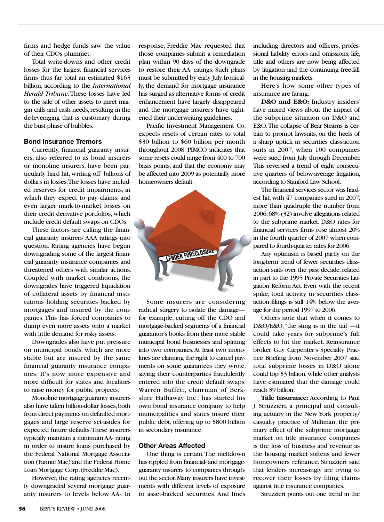firms and hedge funds saw the value of their CDOs plummet.

Total write-downs and other credit losses for the largest financial services firms thus far total an estimated \$163 billion, according to the *International Herald Tribune*. These losses have led to the sale of other assets to meet margin calls and cash needs, resulting in the de-leveraging that is customary during the bust phase of bubbles.

#### **Bond Insurance Tremors**

Currently, financial guaranty insurers, also referred to as bond insurers or monoline insurers, have been particularly hard hit, writing off billions of dollars in losses. The losses have included reserves for credit impairments, in which they expect to pay claims, and even larger mark-to-market losses on their credit derivative portfolios, which include credit default swaps on CDOs.

These factors are calling the financial guaranty insurers' AAA ratings into question. Rating agencies have begun downgrading some of the largest financial guaranty insurance companies and threatened others with similar actions. Coupled with market conditions, the downgrades have triggered liquidation of collateral assets by financial institutions holding securities backed by mortgages and insured by the companies. This has forced companies to dump even more assets onto a market with little demand for risky assets.

Downgrades also have put pressure on municipal bonds, which are more stable but are insured by the same financial guaranty insurance companies. It's now more expensive and more difficult for states and localities to raise money for public projects.

Monoline mortgage guaranty insurers also have taken billion-dollar losses, both from direct payments on defaulted mortgages and large reserve set-asides for expected future defaults. These insurers typically maintain a minimum AA- rating in order to insure loans purchased by the Federal National Mortgage Association (Fannie Mae) and the Federal Home Loan Mortgage Corp. (Freddie Mac).

However, the rating agencies recently downgraded several mortgage guaranty insurers to levels below AA-. In

response, Freddie Mac requested that those companies submit a remediation plan within 90 days of the downgrade to restore their AA- ratings. Such plans must be submitted by early July. Ironically, the demand for mortgage insurance has surged as alternative forms of credit enhancement have largely disappeared and the mortgage insurers have tightened their underwriting guidelines.

Pacific Investment Management Co. expects resets of certain rates to total \$30 billion to \$60 billion per month throughout 2008. PIMCO indicates that some resets could range from 400 to 700 basis points, and that the economy may be affected into 2009 as potentially more homeowners default.



Some insurers are considering radical surgery to isolate the damage for example, cutting off the CDO and mortgage-backed segments of a financial guarantor's books from their more stable municipal bond businesses and splitting into two companies. At least two monolines are claiming the right to cancel payments on some guarantees they wrote, saying their counterparties fraudulently entered into the credit default swaps. Warren Buffett, chairman of Berkshire Hathaway Inc., has started his own bond insurance company to help municipalities and states insure their public debt, offering up to \$800 billion in secondary insurance.

#### **Other Areas Affected**

One thing is certain: The meltdown has rippled from financial- and mortgageguaranty insurers to companies throughout the sector. Many insurers have investments with different levels of exposure to asset-backed securities. And lines including directors and officers, professional liability errors and omissions, life, title and others are now being affected by litigation and the continuing free-fall in the housing markets.

Here's how some other types of insurance are faring:

**D&O and E&O:** Industry insiders' have mixed views about the impact of the subprime situation on D&O and E&O. The collapse of Bear Stearns is certain to prompt lawsuits, on the heels of a sharp uptick in securities class-action suits in 2007, when 100 companies were sued from July through December. This reversed a trend of eight consecutive quarters of below-average litigation, according to Stanford Law School.

The financial services sector was hardest hit, with 47 companies sued in 2007, more than quadruple the number from 2006; 68% (32) involve allegations related to the subprime market. D&O rates for financial services firms rose almost 20% in the fourth quarter of 2007 when compared to fourth-quarter rates for 2006.

Any optimism is based partly on the long-term trend of fewer securities classaction suits over the past decade, related in part to the 1995 Private Securities Litigation Reform Act. Even with the recent spike, total activity in securities classaction filings is still 14% below the average for the period 1997 to 2006.

Others note that when it comes to D&O/E&O, "the sting is in the tail"—it could take years for subprime's full effects to hit the market. Reinsurance broker Guy Carpenter's Specialty Practice Briefing from November 2007 said total subprime losses in D&O alone could top \$3 billion, while other analysts have estimated that the damage could reach \$9 billion.

**Title Insurance:** According to Paul J. Struzzieri, a principal and consulting actuary in the New York property/ casualty practice of Milliman, the primary effect of the subprime mortgage market on title insurance companies is the loss of business and revenue as the housing market softens and fewer homeowners refinance. Struzzieri said that lenders increasingly are trying to recover their losses by filing claims against title insurance companies.

Struzzieri points out one trend in the